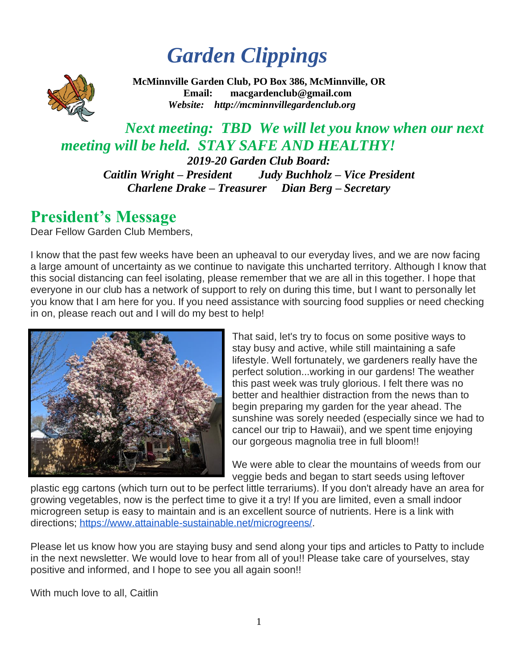# *Garden Clippings*



**McMinnville Garden Club, PO Box 386, McMinnville, OR Email: [macgardenclub@gmail.com](mailto:macgardenclub@gmail.com)**   *Website: http://mcminnvillegardenclub[.org](http://mcminnvillegardenclub.org/)*

## *Next meeting: TBD We will let you know when our next meeting will be held. STAY SAFE AND HEALTHY!*

*2019-20 Garden Club Board: [Caitlin Wright](mailto:caitlinrue.wright@gmail.com?subject=newsletter) – President Judy Buchholz – Vice President Charlene Drake – Treasurer Dian Berg – Secretary*

## **President's Message**

Dear Fellow Garden Club Members,

I know that the past few weeks have been an upheaval to our everyday lives, and we are now facing a large amount of uncertainty as we continue to navigate this uncharted territory. Although I know that this social distancing can feel isolating, please remember that we are all in this together. I hope that everyone in our club has a network of support to rely on during this time, but I want to personally let you know that I am here for you. If you need assistance with sourcing food supplies or need checking in on, please reach out and I will do my best to help!



That said, let's try to focus on some positive ways to stay busy and active, while still maintaining a safe lifestyle. Well fortunately, we gardeners really have the perfect solution...working in our gardens! The weather this past week was truly glorious. I felt there was no better and healthier distraction from the news than to begin preparing my garden for the year ahead. The sunshine was sorely needed (especially since we had to cancel our trip to Hawaii), and we spent time enjoying our gorgeous magnolia tree in full bloom!!

We were able to clear the mountains of weeds from our veggie beds and began to start seeds using leftover

plastic egg cartons (which turn out to be perfect little terrariums). If you don't already have an area for growing vegetables, now is the perfect time to give it a try! If you are limited, even a small indoor microgreen setup is easy to maintain and is an excellent source of nutrients. Here is a link with directions; [https://www.attainable-sustainable.net/microgreens/.](https://www.attainable-sustainable.net/microgreens/)

Please let us know how you are staying busy and send along your tips and articles to Patty to include in the next newsletter. We would love to hear from all of you!! Please take care of yourselves, stay positive and informed, and I hope to see you all again soon!!

With much love to all, Caitlin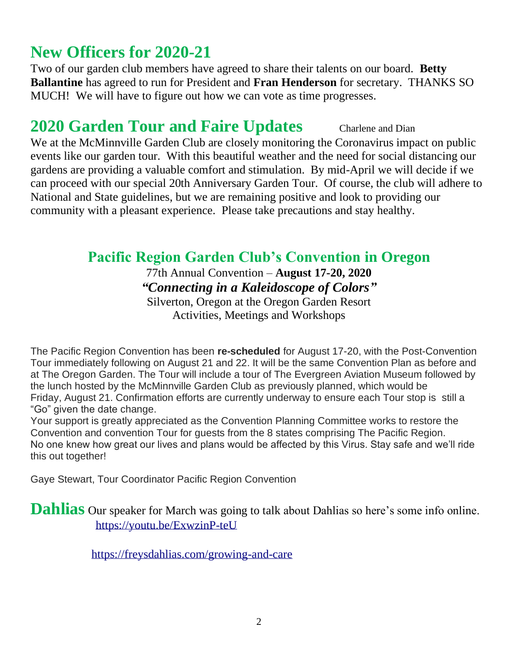# **New Officers for 2020-21**

Two of our garden club members have agreed to share their talents on our board. **Betty Ballantine** has agreed to run for President and **Fran Henderson** for secretary. THANKS SO MUCH! We will have to figure out how we can vote as time progresses.

### **2020 Garden Tour and Faire Updates** Charlene and Dian

We at the McMinnville Garden Club are closely monitoring the Coronavirus impact on public events like our garden tour. With this beautiful weather and the need for social distancing our gardens are providing a valuable comfort and stimulation. By mid-April we will decide if we can proceed with our special 20th Anniversary Garden Tour. Of course, the club will adhere to National and State guidelines, but we are remaining positive and look to providing our community with a pleasant experience. Please take precautions and stay healthy.

### **Pacific Region Garden Club's Convention in Oregon**

#### 77th Annual Convention – **August 17-20, 2020** *"Connecting in a Kaleidoscope of Colors"* Silverton, Oregon at the Oregon Garden Resort

Activities, Meetings and Workshops

The Pacific Region Convention has been **re-scheduled** for August 17-20, with the Post-Convention Tour immediately following on August 21 and 22. It will be the same Convention Plan as before and at The Oregon Garden. The Tour will include a tour of The Evergreen Aviation Museum followed by the lunch hosted by the McMinnville Garden Club as previously planned, which would be Friday, August 21. Confirmation efforts are currently underway to ensure each Tour stop is still a "Go" given the date change.

Your support is greatly appreciated as the Convention Planning Committee works to restore the Convention and convention Tour for guests from the 8 states comprising The Pacific Region. No one knew how great our lives and plans would be affected by this Virus. Stay safe and we'll ride this out together!

Gaye Stewart, Tour Coordinator Pacific Region Convention

**Dahlias** Our speaker for March was going to talk about Dahlias so here's some info online. <https://youtu.be/ExwzinP-teU>

<https://freysdahlias.com/growing-and-care>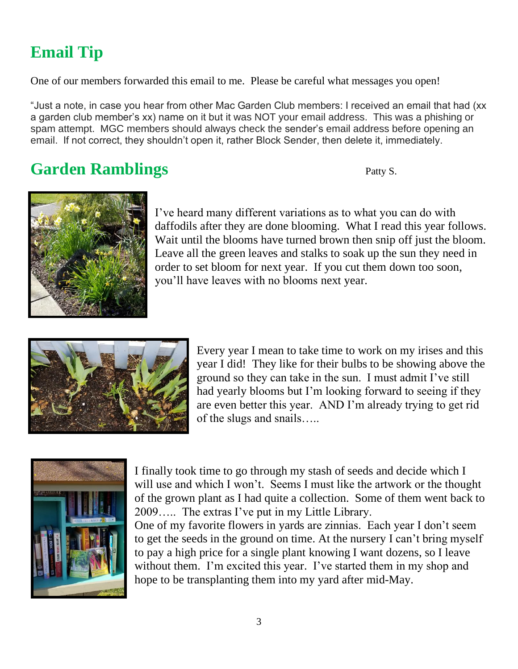# **Email Tip**

One of our members forwarded this email to me. Please be careful what messages you open!

"Just a note, in case you hear from other Mac Garden Club members: I received an email that had (xx a garden club member's xx) name on it but it was NOT your email address. This was a phishing or spam attempt. MGC members should always check the sender's email address before opening an email. If not correct, they shouldn't open it, rather Block Sender, then delete it, immediately.

# **Garden Ramblings** Patty S.



I've heard many different variations as to what you can do with daffodils after they are done blooming. What I read this year follows. Wait until the blooms have turned brown then snip off just the bloom. Leave all the green leaves and stalks to soak up the sun they need in order to set bloom for next year. If you cut them down too soon, you'll have leaves with no blooms next year.



Every year I mean to take time to work on my irises and this year I did! They like for their bulbs to be showing above the ground so they can take in the sun. I must admit I've still had yearly blooms but I'm looking forward to seeing if they are even better this year. AND I'm already trying to get rid of the slugs and snails…..



I finally took time to go through my stash of seeds and decide which I will use and which I won't. Seems I must like the artwork or the thought of the grown plant as I had quite a collection. Some of them went back to 2009….. The extras I've put in my Little Library.

One of my favorite flowers in yards are zinnias. Each year I don't seem to get the seeds in the ground on time. At the nursery I can't bring myself to pay a high price for a single plant knowing I want dozens, so I leave without them. I'm excited this year. I've started them in my shop and hope to be transplanting them into my yard after mid-May.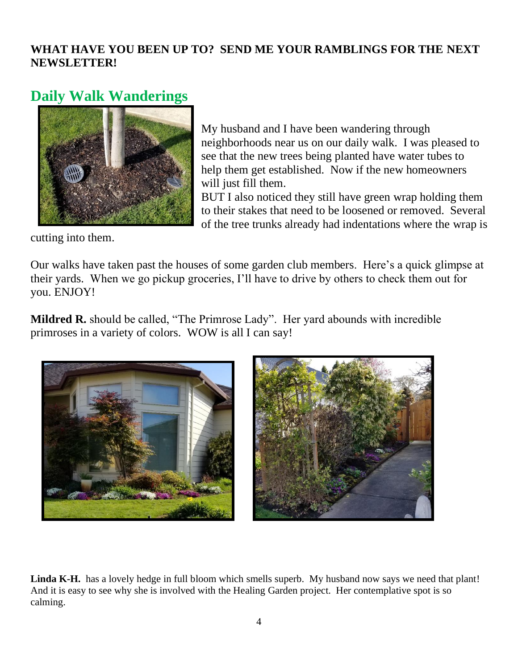### **WHAT HAVE YOU BEEN UP TO? SEND ME YOUR RAMBLINGS FOR THE NEXT NEWSLETTER!**

### **Daily Walk Wanderings**



My husband and I have been wandering through neighborhoods near us on our daily walk. I was pleased to see that the new trees being planted have water tubes to help them get established. Now if the new homeowners will just fill them.

BUT I also noticed they still have green wrap holding them to their stakes that need to be loosened or removed. Several of the tree trunks already had indentations where the wrap is

cutting into them.

Our walks have taken past the houses of some garden club members. Here's a quick glimpse at their yards. When we go pickup groceries, I'll have to drive by others to check them out for you. ENJOY!

**Mildred R.** should be called, "The Primrose Lady". Her yard abounds with incredible primroses in a variety of colors. WOW is all I can say!



Linda K-H. has a lovely hedge in full bloom which smells superb. My husband now says we need that plant! And it is easy to see why she is involved with the Healing Garden project. Her contemplative spot is so calming.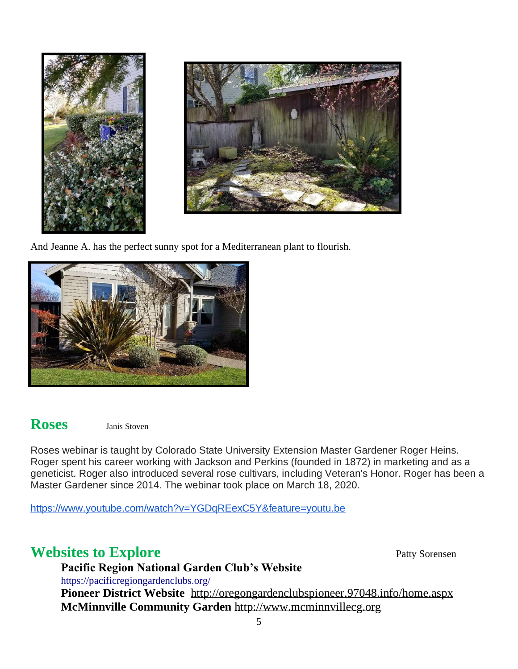

And Jeanne A. has the perfect sunny spot for a Mediterranean plant to flourish.



### **Roses** Janis Stoven

Roses webinar is taught by Colorado State University Extension Master Gardener Roger Heins. Roger spent his career working with Jackson and Perkins (founded in 1872) in marketing and as a geneticist. Roger also introduced several rose cultivars, including Veteran's Honor. Roger has been a Master Gardener since 2014. The webinar took place on March 18, 2020.

<https://www.youtube.com/watch?v=YGDqREexC5Y&feature=youtu.be>

### **Websites to Explore** Patty Sorensen

**Pacific Region National Garden Club's Website** <https://pacificregiongardenclubs.org/> **Pioneer District Website** [http://oregongardenclubspioneer.97048.info/home.aspx](http://oregongardenclubspioneer.97048.info/home.aspx#_blank) **McMinnville Community Garden** [http://www.mcminnvillecg.org](http://www.mcminnvillecg.org/#_blank)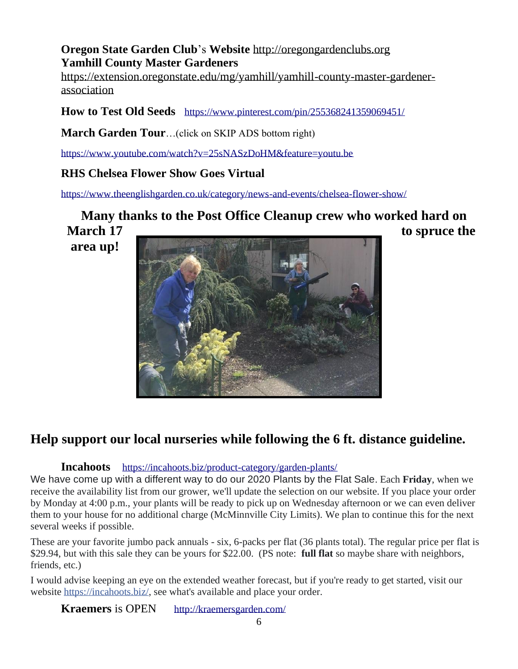#### **Oregon State Garden Club**'s **Website** [http://oregongardenclubs.org](http://oregongardenclubs.org/#_blank) **Yamhill County Master Gardeners**

[https://extension.oregonstate.edu/mg/yamhill/yamhill-county-master-gardener](https://extension.oregonstate.edu/mg/yamhill/yamhill-county-master-gardener-association)[association](https://extension.oregonstate.edu/mg/yamhill/yamhill-county-master-gardener-association)

**How to Test Old Seeds** <https://www.pinterest.com/pin/255368241359069451/>

**March Garden Tour**…(click on SKIP ADS bottom right)

<https://www.youtube.com/watch?v=25sNASzDoHM&feature=youtu.be>

#### **RHS Chelsea Flower Show Goes Virtual**

<https://www.theenglishgarden.co.uk/category/news-and-events/chelsea-flower-show/>

**Many thanks to the Post Office Cleanup crew who worked hard on March 17** to spruce the

**area up!**



### **Help support our local nurseries while following the 6 ft. distance guideline.**

#### **Incahoots** <https://incahoots.biz/product-category/garden-plants/>

We have come up with a different way to do our 2020 Plants by the Flat Sale. Each **Friday**, when we receive the availability list from our grower, we'll update the selection on our website. If you place your order by Monday at 4:00 p.m., your plants will be ready to pick up on Wednesday afternoon or we can even deliver them to your house for no additional charge (McMinnville City Limits). We plan to continue this for the next several weeks if possible.

These are your favorite jumbo pack annuals - six, 6-packs per flat (36 plants total). The regular price per flat is \$29.94, but with this sale they can be yours for \$22.00. (PS note: **full flat** so maybe share with neighbors, friends, etc.)

I would advise keeping an eye on the extended weather forecast, but if you're ready to get started, visit our website [https://incahoots.biz/,](https://incahoots.biz/?fbclid=IwAR1PHPGCKXrBsZ4N86Hfs6MdxRw7rBR1XtVNLB8BLkRfxpy1wa5B360eUO0) see what's available and place your order.

**Kraemers** is OPEN <http://kraemersgarden.com/>